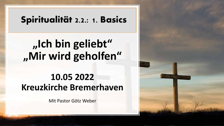#### Spiritualität 2.2.: 1. Basics

# **"Ich bin geliebt" "Mir wird geholfen"**

#### **10.05 2022 Kreuzkirche Bremerhaven**

Mit Pastor Götz Weber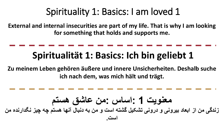**External and internal insecurities are part of my life. That is why I am looking for something that holds and supports me.** 

# **Spiritualität 1: Basics: Ich bin geliebt 1**

**Zu meinem Leben gehören äußere und innere Unsicherheiten. Deshalb suche ich nach dem, was mich hält und trägt.** 

$$
1 - 1 - 1
$$
   
\n
$$
2 - 1 - 1
$$
   
\n
$$
3 - 1 - 1
$$
   
\n
$$
4 - 1 - 1
$$
   
\n
$$
4 - 1 - 1
$$
   
\n
$$
5 - 1 - 1
$$
   
\n
$$
6 - 1 - 1
$$
   
\n
$$
6 - 1 - 1
$$
   
\n
$$
1 - 1 - 1
$$
   
\n
$$
1 - 1 - 1
$$
   
\n
$$
1 - 1 - 1
$$
   
\n
$$
1 - 1 - 1
$$
   
\n
$$
1 - 1 - 1
$$
   
\n
$$
1 - 1 - 1
$$
   
\n
$$
1 - 1 - 1
$$
   
\n
$$
1 - 1 - 1
$$
   
\n
$$
1 - 1 - 1
$$
   
\n
$$
1 - 1 - 1
$$
   
\n
$$
1 - 1 - 1
$$
   
\n
$$
1 - 1 - 1
$$
   
\n
$$
1 - 1 - 1
$$
   
\n
$$
1 - 1 - 1
$$
   
\n
$$
1 - 1 - 1
$$
   
\n
$$
1 - 1 - 1
$$
   
\n
$$
1 - 1 - 1
$$
   
\n
$$
1 - 1 - 1
$$
   
\n
$$
1 - 1 - 1
$$
   
\n
$$
1 - 1 - 1
$$
   
\n
$$
1 - 1 - 1
$$
   
\n
$$
1 - 1 - 1
$$
   
\n
$$
1 - 1 - 1
$$
   
\n
$$
1 - 1 - 1
$$
   
\n
$$
1 - 1 - 1
$$
   
\n
$$
1 - 1 - 1
$$
   
\n
$$
1 - 1 - 1
$$
   
\n
$$
1 - 1 - 1
$$
   
\n
$$
1 - 1 - 1
$$
   
\n
$$
1 - 1 - 1
$$
   
\n<math display="</math>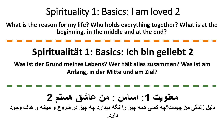**What is the reason for my life? Who holds everything together? What is at the beginning, in the middle and at the end?** 

### **Spiritualität 1: Basics: Ich bin geliebt 2**

**Was ist der Grund meines Lebens? Wer hält alles zusammen? Was ist am Anfang, in der Mitte und am Ziel?** 

$$
--
$$
 
$$
--
$$
 
$$
--
$$
 
$$
--
$$
 
$$
--
$$
 
$$
--
$$
 
$$
--
$$
 
$$
--
$$
 
$$
--
$$
 
$$
--
$$
 
$$
--
$$
 
$$
--
$$
 
$$
--
$$
 
$$
--
$$
 
$$
--
$$
 
$$
--
$$
 
$$
--
$$
 
$$
--
$$
 
$$
--
$$
 
$$
--
$$
 
$$
--
$$
 
$$
--
$$
 
$$
--
$$
 
$$
--
$$
 
$$
--
$$
 
$$
--
$$
 
$$
--
$$
 
$$
--
$$
 
$$
--
$$
 
$$
--
$$
 
$$
--
$$
 
$$
--
$$
 
$$
--
$$
 
$$
--
$$
 
$$
--
$$
 
$$
--
$$
 
$$
--
$$
 
$$
--
$$
 
$$
--
$$
 
$$
--
$$
 
$$
--
$$
 
$$
--
$$
 
$$
--
$$
 
$$
--
$$
 
$$
--
$$
 
$$
--
$$
 
$$
--
$$
 
$$
--
$$
 
$$
--
$$
 
$$
--
$$
 
$$
--
$$
 
$$
--
$$
 
$$
--
$$
 
$$
--
$$
 
$$
--
$$
 
$$
--
$$
 
$$
--
$$
 
$$
--
$$
 
$$
--
$$
 
$$
--
$$
 
$$
--
$$
 
$$
--
$$
 
$$
--
$$
 
$$
--
$$
 
$$
--
$$
 
$$
--
$$
 
$$
--
$$
 
$$
--
$$
 
$$
--
$$
 
$$
--
$$
 
$$
--
$$
 
$$
--
$$
 
$$
--
$$
 
$$
--
$$
 
$$
--
$$
 
$$
--
$$
 <math display="</math>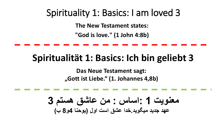**The New Testament states:** 

**"God is love." (1 John 4:8b)**

## **Spiritualität 1: Basics: Ich bin geliebt 3**

**Das Neue Testament sagt: "Gott ist Liebe." (1. Johannes 4,8b)**

**معنویت 1 :اساس : من عاشق هستم 3 عهد جدید میگوید.خدا عشق است اول )یوحنا 4و8 ب(**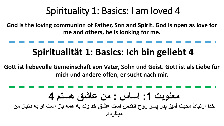**God is the loving communion of Father, Son and Spirit. God is open as love for me and others, he is looking for me.** 

## **Spiritualität 1: Basics: Ich bin geliebt 4**

**Gott ist liebevolle Gemeinschaft von Vater, Sohn und Geist. Gott ist als Liebe für mich und andere offen, er sucht nach mir.** 

$$
\begin{bmatrix} 1 & 1 \\ 0 & 1 \end{bmatrix}
$$
 and 
$$
\begin{bmatrix} 1 & 1 \\ 0 & 1 \end{bmatrix}
$$
 and 
$$
\begin{bmatrix} 1 & 1 \\ 0 & 1 \end{bmatrix}
$$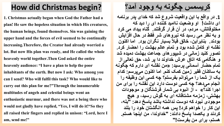#### **How did Christmas begin?**

**1. Christmas actually began when God the Father had a plan! He saw the hopeless situation in which His creatures, the human beings, found themselves. Sin was gaining the upper hand and the forces of evil seemed to be continually increasing.Therefore, the Creator had already worried a lot. But now His plan was ready, and He called the whole heavenly world together.Then God asked the entire heavenly audience: "I have a plan to help the poor inhabitants of the earth. But now I ask: Who among you can I send? Who will fulfil this task? Who would like to**  carry out this plan for me?"Through the innumerable **multitudes of angels and celestial beings went an enthusiastic murmur, and there was not a being there who would not gladly have replied, "Yes, I will do it!"So they all raised their fingers and replied in unison: "Lord, here I am, send me!"**

#### **کریسمس چگونه به وجود آمد؟**

**.1 در واقع با این واقعیت شروع شد که خدای پدر برنامه ای داشت! او وضعیت ناامید کننده ای را دید که مخلوقاتش، مردم، در آن قرار گرفتند. گناه بیداد می کرد و به نظر می رسید که نیروهای شر فقط در حال افزایش بودند. بنابراین، خالق قبالً بسیار نگران بود. اما اکنون نقشه او کامل شده بود و تمام عالم بهشت را احضار کرد. تصور کنید زمانی در شیپورهای جماعت بهشت دمیده شد و هنگامی که اتاق عرش خداوند دا پر شد، حق تعالی از تمام حضار آسمانی پرسید: »من نقشه ای دارم که چگونه به ساکنان فقیر زمین کمک کنم. اما اکنون می پرسم: کدام یک از شما را می توانم بفرستم؟ چه کسی این وظیفه را انجام می دهد؟ چه کسی دوست دارد این نقشه را برای من اجرا کند؟« - از انبوه بی شمار فرشتگان و موجودات بهشتی، زمزمه مشتاقانه ای به گوش رسید، و هیچ موجودی نبود که دوست نداشته باشد پاسخ دهد: "بله، این کار را خواهم کرد! پس همه انگشتان خود را بلند کردند و یکصدا پاسخ دادند: "خداوندا، من اینجا هستم. هستم، برای من بفرست!"**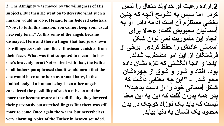**2. The Almighty was moved by the willingness of His subjects. But then He went on to describe what such a mission would involve. He said to his beloved celestials: "Now, to fulfil this mission, you cannot keep your usual heavenly form." At this some of the angels became dismayed. Here and there a finger that had just shown its willingness sank, and the enthusiasm vanished from their faces. What was that supposed to mean –to lose one's heavenly form?Not content with that, the Father of all fathers paraphrased that it would mean that the one would have to be born as a small baby, in the**  limited body of a human being. Then other angels **considered the possibility of such a mission and the more they became aware of the difficulty, they lowered their previously outstretched fingers.But there was still more to come!Once again the warm, but nevertheless very alarming, voice of the Father in heaven sounded.**

**.2اراده رعیت او خداوند متعال را لمس کرد. اما سپس به تشریح آنچه که چنین پخشی مستلزم آن است ادامه داد. او به آسمانیان محبوبش گفت: »حاال برای انجام این مأموریت نمی توان شکل آسمانی عادتش را حفظ کرد«. برخی از فرشتگان از این امر مضطرب شدند. اینجا و آنجا انگشتی که تازه نشان داده بود، افتاد و شور و شوق از چهره شان "این چه معنایی داشت که محو شد. - شکل آسمانی خود را از دست بدهید؟" پدر همه پدران گفت که این به این معنا نیست که باید یک نوزاد کوچک در بدن محدود یک انسان به دنیا بیاید.**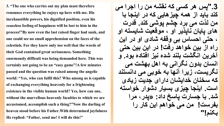**3. "The one who carries out my plan must therefore renounce everything he enjoys up here with me. His inexhaustible powers, his dignified position, even his ceaseless feeling of happiness will be lost to him in the process!"Bynow even the last raised finger had sunk, and one could see no small apprehension on the faces of the celestials. For they knew only too well that the words of their God contained great seriousness. Something enormously difficult was being demanded here. This was certainly not going to be an "easy game"!A few minutes passed and the question was raised among the angelic world: "Yes, who can fulfil this? Who among us is capable of exchanging everything heavenly for a frightening existence in the visible human world? Yes, how can one,**  without the marvellous heavenly faculties to which we are **accustomed, accomplish such a thing?"Now the darling of heaven stood before his Father. With determined joyfulness He replied: "Father, send me! I will do this!"**

**.3"پس هر کسی که نقشه من را اجرا می کند باید از همه چیزهایی که در اینجا با من لذت می برد چشم پوشی کند. قدرت های پایان ناپذیر او ، موقعیت شایسته او ، حتی احساس بی وقفه شادی او در این راه از بین خواهد رفت! در این بین حتی آخرین انگشت بلند شده نیز افتاده بود. و انسان بدون نگرانی به اهل بهشت می نگریست، زیرا آنها به خوبی می دانستند که سخنان خدایشان دارای جدیت زیادی است. اینجا چیزی بسیار دشوار خواسته . با جسارت پاسخ داد: »پدر، مرا شد بفرست! من می خواهم این کار را بکنم!"**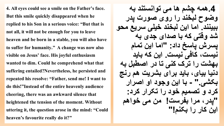**4. All eyes could see a smile on the Father's face. But this smile quickly disappeared when he replied to his Son in a serious voice: "But that is not all, it will not be enough for you to leave heaven and be born in a stable, you will also have to suffer for humanity." A change was now also visible on Jesus' face. His joyful enthusiasm wanted to dim. Could he comprehend what that suffering entailed?Nevertheless, he persisted and repeated his resolve: "Father, send me! I want to do this!"Insteadof the entire heavenly audience cheering, there was an awkward silence that heightened the tension of the moment. Without uttering it, the question arose in the mind: "Could heaven's favourite really do it?"**

**.4همه چشم ها می توانستند به وضوح لبخند را روی صورت پدر ببینند. اما این لبخند خیلی سریع محو شد وقتی که با صدای جدی به پسرش پاسخ داد: "اما این تمام نیست، کافی نیست. این که باید بهشت را ترک کنی تا در اصطبل به دنیا بیای، باید برای بشریت هم رنج بکشی." - با این وجود او اصرار کرد و تصمیم خود را تکرار کرد: "پدر، مرا بفرست! من می خواهم این کار را بکنم!"**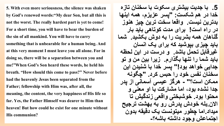**5. With even more seriousness, the silence was shaken by God's renewed words:"Mydear Son, but all this is not the worst. The really hardest part is yet to come! For a short time, you will have to bear the burden of the sin of all mankind. You will have to carry something that is unbearable for a human being. And at this very moment I must leave you all alone. For in doing so, there will be a separation between you and me!"When God's Son heard these words, he held his breath. "How should this come to pass?" Never before had the heavenly Jesus been separated from the Father; fellowship with Him was, after all, the meaning, the content, the very happiness of His life so far. Yes, the Father Himself was dearer to Him than heaven! But how could he exist for one minute without His communion?**

**.5 با جدیت بیشتری سکوت با سخنان تازه خدا در هم شکست: "پسر عزیزم، همه اینها بدترین نیست. واقعا سخت ترین چیز هنوز در راه است! برای مدت کوتاهی باید بار گناهان همه بشریت را به دوش بکشید. شما باید چیزی بپوشید که برای یک انسان غیرقابل تحمل باشد. و درست در این لحظه باید شما را تنها بگذارم. زیرا بین من و تو جدایی خواهد بود!" پسر خدا با شنیدن این سخنان نفس خود را حبس کرد. "چگونه ممکن است؟" - هرگز عیسی آسمانی از پدر جدا نشده بود، اما مشارکت با او معنی و محتوا بود. خوشبختی واقعی زندگیش تا االن.بله خودش پدرش رو به بهشت ترجیح میداد.اما چطور میتونست یک دقیقه بدون اجتماعش وجود داشته باشه؟-**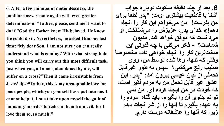**6. After a few minutes of motionlessness, the familiar answer came again with even greater determination: "Father, please, send me! I want to do it!"Godthe Father knew His beloved. He knew He could do it. Nevertheless, he asked Him one last time:"Mydear Son, I am not sure you can really understand what is coming? With what strength do you think you will carry out this most difficult task, just when you, all alone, abandoned by me, will suffer on a cross?"Thenit came irresistable from Jesus' lips:"Father, this is my unstoppable love for poor people, which you yourself have put into me. I cannot help it, I must take upon myself the guilt of humanity in order to redeem them from evil, for I love them so, so much!"**

**.6 بعد از چند دقیقه سکوت دوباره جواب آشنا با قاطعیت بیشتری اومد: "پدر لطفا برای من بفرست! من می خواهم این کار را انجام**  دهم!» خدای پدر، عزیزش را می *شن*اخت. او **می دانست که موفق خواهد شد. مدیون شماست؟ - فکر می کنی با چه قدرتی این سخت ترین کار را انجام خواهی داد، مخصوصاً وقتی که تنها، رها شده توسط من، روی صلیب رنج می کشی؟ سپس به طور غیرقابل تحملی از لبان عیسی بیرون آمد: "پدر، این عشق غیر قابل تحمل من به مردم فقیر است، که خودت در من ایجاد کرده ای. من نمی توانم جلوی آن را بگیرم، باید گناه مردم را به عهده بگیرم تا آنها را از شر نجات دهم زیرا که آنها را عاشقانه دوست دارم.**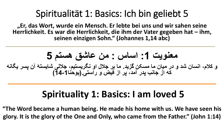**"Er, das Wort, wurde ein Mensch. Er lebte bei uns und wir sahen seine Herrlichkeit. Es war die Herrlichkeit, die ihm der Vater gegeben hat – ihm, seinen einzigen Sohn." (Johannes 1,14 abc)**

**معنویت :1 اساس : من عاشق هستم 5 و کالم، انسان شد و در میان ما مسکن گزید. ما بر جالل او نگریستیم، جاللی شایستۀ آن پسر یگانه که از جانب پدر آمد، پر از فیض و راستی.)یوحنا14-1(**

#### **Spirituality 1: Basics: I am loved 5**

**"The Word became a human being. He made his home with us. We have seen his glory. It is the glory of the One and Only, who came from the Father." (John 1:14)**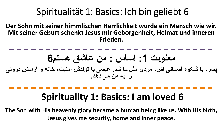**Der Sohn mit seiner himmlischen Herrlichkeit wurde ein Mensch wie wir. Mit seiner Geburt schenkt Jesus mir Geborgenheit, Heimat und inneren Frieden.** 

**معنویت :1 اساس : من عاشق هستم6 پسر، با شکوه آسمانی اش، مردی مثل ما شد. عیسی با تولدش امنیت، خانه و آرامش درونی را به من می دهد.** 

#### **Spirituality 1: Basics: I am loved 6**

**The Son with His heavenly glory became a human being like us. With His birth, Jesus gives me security, home and inner peace.**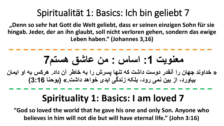**"Denn so sehr hat Gott die Welt geliebt, dass er seinen einzigen Sohn für sie hingab. Jeder, der an ihn glaubt, soll nicht verloren gehen, sondern das ewige Leben haben." (Johannes 3,16)**

**معنویت :1 اساس : من عاشق هستم7**

**» خداوند جهان را آنقدر دوست داشت که تنها پسرش را به خاطر آن داد. هرکس به او ایمان بیاورد، از بین نمی رود، بلکه زندگی ابدی خواهد داشت.« )یوحنا 3:16(**

#### **Spirituality 1: Basics: I am loved 7**

**"God so loved the world that he gave his one and only Son. Anyone who believes in him will not die but will have eternal life." (John 3:16)**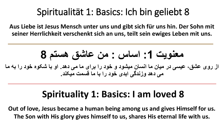**Aus Liebe ist Jesus Mensch unter uns und gibt sich für uns hin. Der Sohn mit seiner Herrlichkeit verschenkt sich an uns, teilt sein ewiges Leben mit uns.** 

**معنویت :1 اساس : من عاشق هستم 8**

**از روی عشق، عیسی در میان ما انسان میشود و خود را برای ما می دهد. او با شکوه خود را به ما می دهد وزندگی ابدی خود را با ما قسمت میکند.**

#### **Spirituality 1: Basics: I am loved 8**

**Out of love, Jesus became a human being among us and gives Himself for us. The Son with His glory gives himself to us, shares His eternal life with us.**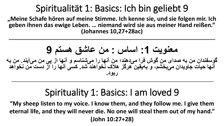**"Meine Schafe hören auf meine Stimme. Ich kenne sie, und sie folgen mir. Ich geben ihnen das ewige Leben. … niemand wird sie aus meiner Hand reißen." (Johannes 10,27+28ac)**

**معنویت :1 اساس : من عاشق هستم 9 گوسفندان من به صدای من گوش فرا می دهند؛ من آنها را می شناسم و آنها از پی من می آیند. من به آنها حیات جاویدان می بخشم، و به یقین هرگز هالک نخواهند شد. کسی آنها را از دست من نخواهد ربود.**

#### Spirituality 1: Basics: I am loved 9

**"My sheep listen to my voice. I know them, and they follow me. I give them eternal life, and they will never die. No one will steal them out of my hand." (John 10:27+28)**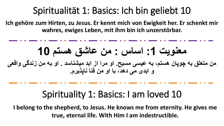**Ich gehöre zum Hirten, zu Jesus. Er kennt mich von Ewigkeit her. Er schenkt mir wahres, ewiges Leben, mit ihm bin ich unzerstörbar.** 

**معنویت :1 اساس : من عاشق هستم 10 من متعلق به چوپان هستم، به عیسی مسیح. او مرا از ابد میشناسد . او به من زندگی واقعی و ابدی می دهد، با او من فنا ناپذیرم.** 

#### Spirituality 1: Basics: I am loved 10

**I belong to the shepherd, to Jesus. He knows me from eternity. He gives me true, eternal life. With Him I am indestructible.**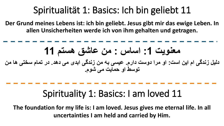**Der Grund meines Lebens ist: ich bin geliebt. Jesus gibt mir das ewige Leben. In allen Unsicherheiten werde ich von ihm gehalten und getragen.** 



#### Spirituality 1: Basics: I am loved 11

**The foundation for my life is: I am loved. Jesus gives me eternal life. In all uncertainties I am held and carried by Him.**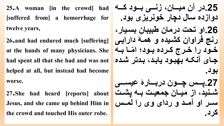**25.A woman [in the crowd] had [suffered from] a hemorrhage for twelve years,**

**26.and had endured much [suffering] at the hands of many physicians. She had spent all that she had and was not helped at all, but instead had become worse.**

**27.She had heard [reports] about Jesus, and she came up behind Him in the crowd and touched His outer robe.**

**.25در آن میااااان، زناااای باااود کااااه دوازده سال دچار خونریزی بود. ِن بسایار، .26او تحت درمان طبیبا رنج فراوان کشایده و هماۀ دارایای مااا بااه خااود را خاارد کاارده بااود؛ ا جاای آنکاه بهباود یاباد، بادتر شاده بود. .27پااااس چااااون دربااااار عیساااای شاانید، از میااان جمعیاات بااه پشاات ساار او آمااد و ردای وی را لماااس کرد.**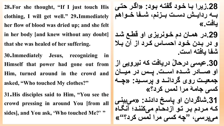**28.For she thought, "If I just touch His clothing, I will get well." 29.Immediately her flow of blood was dried up; and she felt in her body [and knew without any doubt] that she was healed of her suffering.**

**30.Immediately Jesus, recognizing in Himself that power had gone out from Him, turned around in the crowd and asked, "Who touched My clothes?"**

**31.His disciples said to Him, "You see the crowd pressing in around You [from all sides], and You ask, 'Who touched Me?' "**

**.28زیرا باا خاود گفتاه باود: »اگار حتای باااه ردایاااش دسااات بااازنم، شااافا خاااواهم یافت.« .29در هماان دم خاونریزی او قطاع شاد و در بادن خاود احسااس کارد از آن باال شفا یافته است. عیسی درحا ْل دریافت که نیرویی از .30 او صاااادر شاااده اسااات. پاااس در میاااان**  جمعیت روی گردانـد و پرسـید: «چـه **کسی جامۀ مرا لمس کرد؟«** 31.شاگردان او پاسخ دادند: «میبین*ی* **کاه ماردم بار تاو ازدحاام می کنناد؛ آنگااه می پرسی، "چه کسی مرا لمس کرد؟"«**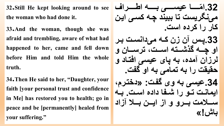**32.Still He kept looking around to see the woman who had done it.** 

**33.And the woman, though she was afraid and trembling, aware of what had happened to her, came and fell down before Him and told Him the whole truth.**

**34.Then He said to her, "Daughter, your faith [your personal trust and confidence in Me] has restored you to health; go in peace and be [permanently] healed from your suffering."**

**مااااااا عیساااااای بااااااه اطااااااراف .32ا می نگریست تا ببیند چاه کسای ایان کار را کرده است. .33پاس آن زن کاه می دانسات بار او چاااه گذشاااته اسااات، ترساااان و لرزان آمده، به پای عیسی افتااد و حقیقت را به تمامی به او گفت. .34عیسی به وی گفات: »دختارم، ایماناات تااو را شاافا داده اساات. بااه ساااالمت باااارو و از ایاااان بااااال آزاد باش!«**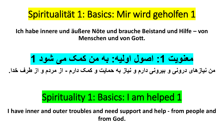**Ich habe innere und äußere Nöte und brauche Beistand und Hilfe – von Menschen und von Gott.** 

**معنویت :1 اصول اولیه: به من کمک می شود 1**

**من نیازهای درونی و بیرونی دارم و نیاز به حمایت و کمک دارم - از مردم و از طرف خدا.** 

#### Spirituality 1: Basics: I am helped 1

**I have inner and outer troubles and need support and help - from people and from God.**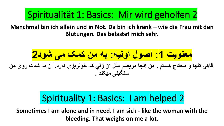**Manchmal bin ich allein und in Not. Da bin ich krank – wie die Frau mit den Blutungen. Das belastet mich sehr.**

**معنویت :1 اصول اولیه: به من کمک می شود2 گاهی تنها و محتاد هستم . من آنجا مریضم مثل آن زني که خونریزي دارد. آن به شدت روي من سنگینی میکند .** 

### Spirituality 1: Basics: I am helped 2

**Sometimes I am alone and in need. I am sick - like the woman with the bleeding. That weighs on me a lot.**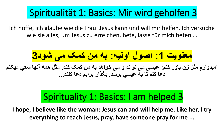Ich hoffe, ich glaube wie die Frau: Jesus kann und will mir helfen. Ich versuche wie sie alles, um Jesus zu erreichen, bete, lasse für mich beten …

**معنویت :1 اصول اولیه: به من کمک می شود3**

**امیدوارم مثل زن باور کنم: عیسی می تواند و می خواهد به من کمک کند. مثل همه آنها سعي میکنم دعا کنم تا به عیسي برسد. بگذار برایم دعا کنند...**

## Spirituality 1: Basics: I am helped 3

**I hope, I believe like the woman: Jesus can and will help me. Like her, I try everything to reach Jesus, pray, have someone pray for me ...**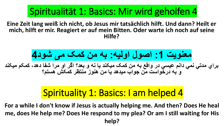**Eine Zeit lang weiß ich nicht, ob Jesus mir tatsächlich hilft. Und dann? Heilt er mich, hilft er mir. Reagiert er auf mein Bitten. Oder warte ich noch auf seine Hilfe?**

**معنویت :1 اصول اولیه: به من کمک می شود4 براي مدتي نمي دانم عیسي در واقع به من کمک میکند یا نه و بعد؟ اگر او مرا شفا دهد، کمکم میکند** 

#### **و به درخواست من جواب میدهد یا من هنوز منتظر کمکش هستم؟**

## Spirituality 1: Basics: I am helped 4

**For a while I don't know if Jesus is actually helping me. And then? Does He heal me, does He help me? Does He respond to my plea? Or am I still waiting for His help?**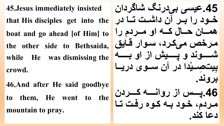**45**.**Jesus immediately insisted that His disciples get into the boat and go ahead [of Him] to the other side to Bethsaida, while He was dismissing the crowd.**

**46**.**And after He said goodbye to them, He went to the mountain to pray.**

**.45عیسی بی درنگ شاگردان خااود را باار آن داشاات تااا در هماااان حاااال کاااه او ماااردم را مارخم می کارد، ساوار قاایق شاااااااوند و پااااااایش از او باااااااه یدا در آن ساااوی د صااا یت ب ریاااا ْ ِ <u></u> بروند. .46پاااااس از رواناااااه کاااااردن ماردم، خاود باه کاوه رفات تاا دعا کند.**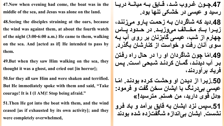**47.Now when evening had come, the boat was in the middle of the sea, and Jesus was alone on the land.**

**48.Seeing the disciples straining at the oars, because the wind was against them, at about the fourth watch of the night (3:00-6:00 a.m.) He came to them, walking on the sea. And [acted as if] He intended to pass by them.**

**49.But when they saw Him walking on the sea, they thought it was a ghost, and cried out [in horror];**

**50.for they all saw Him and were shaken and terrified. But He immediately spoke with them and said, "Take courage! It is I (I AM)! Stop being afraid."**

**51.Then He got into the boat with them, and the wind ceased [as if exhausted by its own activity]; and they were completely overwhelmed,**

47.چـون غـروب شـد، قـايق بــه ميانــهٔ دريــا **رسید و عیسی در خشکی تنها بود. .48دید که شاگردان باه زحمات پاارو می زنناد، زیااارا بااااِد مخاااالف میوزیاااد. در حااادود پااااس چهارم از شب، عیسی گام زنان بر روی آب باه سوی آنان رفت و خواست از کنارشان بگذرد. ما چون شاگردان او را در حال راه رفاتن .49ا بار آب دیدناد، گماان کردناد شابحی اسات. پاس فریاد برآوردند، ماا .50زیارا از دیادن او وحشات کارده بودناد. ا عیسی بی درنگ با ایشان سخن گفت و فرمود: »دل قوی دارید، من هستم. مترسید!« .51سپس نزد ایشان به قایق برآمد و باد فارو نشست. ایشان بی اندازه شگفت زده شده بودند**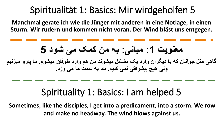**Manchmal gerate ich wie die Jünger mit anderen in eine Notlage, in einen Sturm. Wir rudern und kommen nicht voran. Der Wind bläst uns entgegen.**

**معنویت :1 مبانی: به من کمک می شود 5 گاهی مثل جوانان که با دیگران وارد یک مشکل میشوند من هم وارد طوفان میشوم. ما پارو میزنیم ولی هیچ پیشرفتی نمی کنیم. باد به سمت ما می وزد.** 

#### Spirituality 1: Basics: I am helped 5

**Sometimes, like the disciples, I get into a predicament, into a storm. We row and make no headway. The wind blows against us.**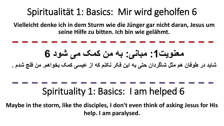**Vielleicht denke ich in dem Sturm wie die Jünger gar nicht daran, Jesus um seine Hilfe zu bitten. Ich bin wie gelähmt.** 



**Maybe in the storm, like the disciples, I don't even think of asking Jesus for His help. I am paralysed.**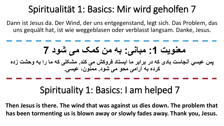Dann ist Jesus da. Der Wind, der uns entgegenstand, legt sich. Das Problem, das uns gequält hat, ist wie weggeblasen oder verblasst langsam. Danke, Jesus.



### Spirituality 1: Basics: I am helped 7

**Then Jesus is there. The wind that was against us dies down. The problem that has been tormenting us is blown away or slowly fades away. Thank you, Jesus.**